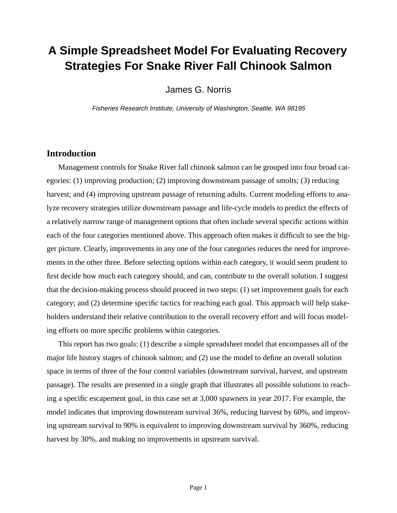# **A Simple Spreadsheet Model For Evaluating Recovery Strategies For Snake River Fall Chinook Salmon**

James G. Norris

Fisheries Research Institute, University of Washington, Seattle, WA 98195

## **Introduction**

Management controls for Snake River fall chinook salmon can be grouped into four broad categories: (1) improving production; (2) improving downstream passage of smolts; (3) reducing harvest; and (4) improving upstream passage of returning adults. Current modeling efforts to analyze recovery strategies utilize downstream passage and life-cycle models to predict the effects of a relatively narrow range of management options that often include several specific actions within each of the four categories mentioned above. This approach often makes it difficult to see the bigger picture. Clearly, improvements in any one of the four categories reduces the need for improvements in the other three. Before selecting options within each category, it would seem prudent to first decide how much each category should, and can, contribute to the overall solution. I suggest that the decision-making process should proceed in two steps: (1) set improvement goals for each category; and (2) determine specific tactics for reaching each goal. This approach will help stakeholders understand their relative contribution to the overall recovery effort and will focus modeling efforts on more specific problems within categories.

This report has two goals: (1) describe a simple spreadsheet model that encompasses all of the major life history stages of chinook salmon; and (2) use the model to define an overall solution space in terms of three of the four control variables (downstream survival, harvest, and upstream passage). The results are presented in a single graph that illustrates all possible solutions to reaching a specific escapement goal, in this case set at 3,000 spawners in year 2017. For example, the model indicates that improving downstream survival 36%, reducing harvest by 60%, and improving upstream survival to 90% is equivalent to improving downstream survival by 360%, reducing harvest by 30%, and making no improvements in upstream survival.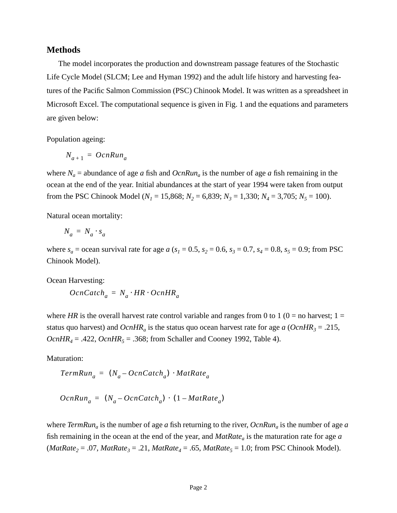### **Methods**

The model incorporates the production and downstream passage features of the Stochastic Life Cycle Model (SLCM; Lee and Hyman 1992) and the adult life history and harvesting features of the Pacific Salmon Commission (PSC) Chinook Model. It was written as a spreadsheet in Microsoft Excel. The computational sequence is given in Fig. 1 and the equations and parameters are given below:

Population ageing:

$$
N_{a+1} = OcnRun_a
$$

where  $N_a$  = abundance of age *a* fish and  $OcnRun_a$  is the number of age *a* fish remaining in the ocean at the end of the year. Initial abundances at the start of year 1994 were taken from output from the PSC Chinook Model ( $N_1 = 15,868$ ;  $N_2 = 6,839$ ;  $N_3 = 1,330$ ;  $N_4 = 3,705$ ;  $N_5 = 100$ ).

Natural ocean mortality:

$$
N_a = N_a \cdot s_a
$$

where  $s_a$  = ocean survival rate for age *a* ( $s_1$  = 0.5,  $s_2$  = 0.6,  $s_3$  = 0.7,  $s_4$  = 0.8,  $s_5$  = 0.9; from PSC Chinook Model).

Ocean Harvesting:

 $OcnCatch_a = N_a \cdot HR \cdot OcnHR_a$ 

where *HR* is the overall harvest rate control variable and ranges from 0 to 1 ( $0 =$  no harvest; 1 = status quo harvest) and  $OcnHR_a$  is the status quo ocean harvest rate for age *a* ( $OcnHR_3 = .215$ , *OcnHR<sub>4</sub>* = .422, *OcnHR<sub>5</sub>* = .368; from Schaller and Cooney 1992, Table 4).

Maturation:

$$
TermRun_a = (N_a - OcnCatch_a) \cdot MatRate_a
$$

$$
OcnRun_a = (N_a - OcnCatch_a) \cdot (1 - MatRate_a)
$$

where *TermRuna* is the number of age *a* fish returning to the river, *OcnRuna* is the number of age *a* fish remaining in the ocean at the end of the year, and *MatRate<sub>a</sub>* is the maturation rate for age *a*  $(MatRate_2 = .07, MatRate_3 = .21, MatRate_4 = .65, MatRate_5 = 1.0$ ; from PSC Chinook Model).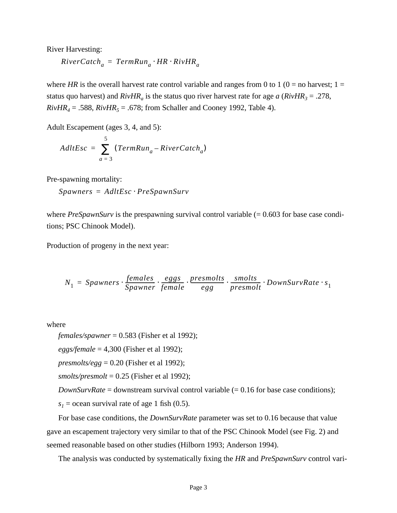River Harvesting:

$$
River Catch_a = TermRun_a \cdot HR \cdot RivHR_a
$$

where *HR* is the overall harvest rate control variable and ranges from 0 to 1 ( $0 =$  no harvest; 1 = status quo harvest) and  $RivHR_a$  is the status quo river harvest rate for age *a* ( $RivHR_3 = .278$ ,  $RivHR_4 = .588$ ,  $RivHR_5 = .678$ ; from Schaller and Cooney 1992, Table 4).

Adult Escapement (ages 3, 4, and 5):

$$
AdltEsc = \sum_{a=3}^{5} (TermRun_a - River Catch_a)
$$

Pre-spawning mortality:

 $Spawners = AdltEsc \cdot PreSpawnSurv$ 

where *PreSpawnSurv* is the prespawning survival control variable (= 0.603 for base case conditions; PSC Chinook Model).

Production of progeny in the next year:

*<sup>N</sup>*<sup>1</sup> *Spawners females Spawner*  $= Spawners\cdot \frac{ females}{Spawner}\cdot \frac{eggs}{female}\cdot \frac{presmolts}{egg}\cdot \frac{smolts}{presmolt}\cdot DownSurvRate\cdot s_1$ 

where

*females/spawner* = 0.583 (Fisher et al 1992);

*eggs/female* = 4,300 (Fisher et al 1992);

*presmolts/egg* =  $0.20$  (Fisher et al 1992);

*smolts/presmolt* = 0.25 (Fisher et al 1992);

*DownSurvRate* = downstream survival control variable (= 0.16 for base case conditions);

 $s_1$  = ocean survival rate of age 1 fish (0.5).

For base case conditions, the *DownSurvRate* parameter was set to 0.16 because that value gave an escapement trajectory very similar to that of the PSC Chinook Model (see Fig. 2) and seemed reasonable based on other studies (Hilborn 1993; Anderson 1994).

The analysis was conducted by systematically fixing the *HR* and *PreSpawnSurv* control vari-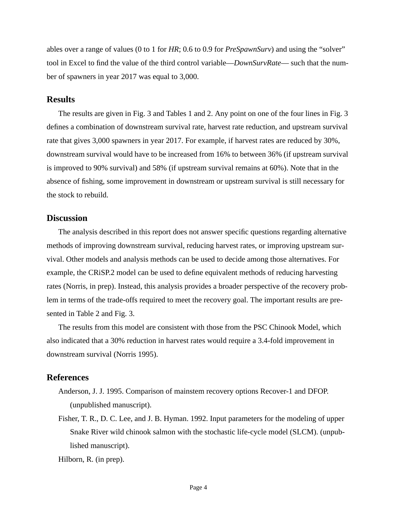ables over a range of values (0 to 1 for *HR*; 0.6 to 0.9 for *PreSpawnSurv*) and using the "solver" tool in Excel to find the value of the third control variable—*DownSurvRate*— such that the number of spawners in year 2017 was equal to 3,000.

### **Results**

The results are given in Fig. 3 and Tables 1 and 2. Any point on one of the four lines in Fig. 3 defines a combination of downstream survival rate, harvest rate reduction, and upstream survival rate that gives 3,000 spawners in year 2017. For example, if harvest rates are reduced by 30%, downstream survival would have to be increased from 16% to between 36% (if upstream survival is improved to 90% survival) and 58% (if upstream survival remains at 60%). Note that in the absence of fishing, some improvement in downstream or upstream survival is still necessary for the stock to rebuild.

#### **Discussion**

The analysis described in this report does not answer specific questions regarding alternative methods of improving downstream survival, reducing harvest rates, or improving upstream survival. Other models and analysis methods can be used to decide among those alternatives. For example, the CRiSP.2 model can be used to define equivalent methods of reducing harvesting rates (Norris, in prep). Instead, this analysis provides a broader perspective of the recovery problem in terms of the trade-offs required to meet the recovery goal. The important results are presented in Table 2 and Fig. 3.

The results from this model are consistent with those from the PSC Chinook Model, which also indicated that a 30% reduction in harvest rates would require a 3.4-fold improvement in downstream survival (Norris 1995).

## **References**

- Anderson, J. J. 1995. Comparison of mainstem recovery options Recover-1 and DFOP. (unpublished manuscript).
- Fisher, T. R., D. C. Lee, and J. B. Hyman. 1992. Input parameters for the modeling of upper Snake River wild chinook salmon with the stochastic life-cycle model (SLCM). (unpublished manuscript).

Hilborn, R. (in prep).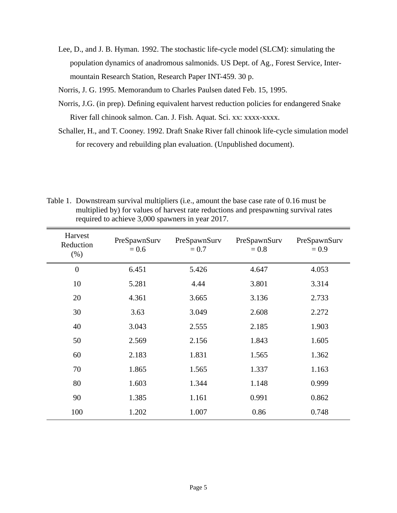- Lee, D., and J. B. Hyman. 1992. The stochastic life-cycle model (SLCM): simulating the population dynamics of anadromous salmonids. US Dept. of Ag., Forest Service, Intermountain Research Station, Research Paper INT-459. 30 p.
- Norris, J. G. 1995. Memorandum to Charles Paulsen dated Feb. 15, 1995.
- Norris, J.G. (in prep). Defining equivalent harvest reduction policies for endangered Snake River fall chinook salmon. Can. J. Fish. Aquat. Sci. xx: xxxx-xxxx.
- Schaller, H., and T. Cooney. 1992. Draft Snake River fall chinook life-cycle simulation model for recovery and rebuilding plan evaluation. (Unpublished document).

Table 1. Downstream survival multipliers (i.e., amount the base case rate of 0.16 must be multiplied by) for values of harvest rate reductions and prespawning survival rates required to achieve 3,000 spawners in year 2017.

| Harvest<br>Reduction<br>(% ) | PreSpawnSurv<br>$= 0.6$ | PreSpawnSurv<br>$= 0.7$ | PreSpawnSurv<br>$= 0.8$ | PreSpawnSurv<br>$= 0.9$ |
|------------------------------|-------------------------|-------------------------|-------------------------|-------------------------|
| $\boldsymbol{0}$             | 6.451                   | 5.426                   | 4.647                   | 4.053                   |
| 10                           | 5.281                   | 4.44                    | 3.801                   | 3.314                   |
| 20                           | 4.361                   | 3.665                   | 3.136                   | 2.733                   |
| 30                           | 3.63                    | 3.049                   | 2.608                   | 2.272                   |
| 40                           | 3.043                   | 2.555                   | 2.185                   | 1.903                   |
| 50                           | 2.569                   | 2.156                   | 1.843                   | 1.605                   |
| 60                           | 2.183                   | 1.831                   | 1.565                   | 1.362                   |
| 70                           | 1.865                   | 1.565                   | 1.337                   | 1.163                   |
| 80                           | 1.603                   | 1.344                   | 1.148                   | 0.999                   |
| 90                           | 1.385                   | 1.161                   | 0.991                   | 0.862                   |
| 100                          | 1.202                   | 1.007                   | 0.86                    | 0.748                   |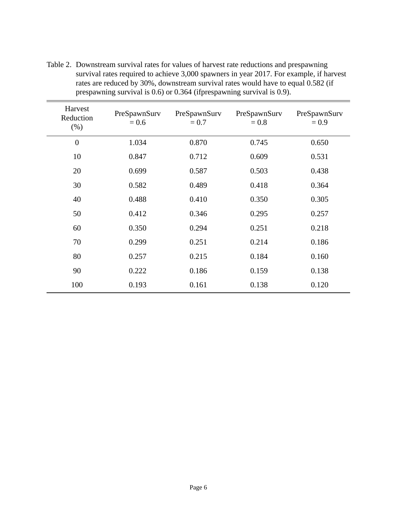| Harvest<br>Reduction<br>(% ) | PreSpawnSurv<br>$= 0.6$ | PreSpawnSurv<br>$= 0.7$ | PreSpawnSurv<br>$= 0.8$ | PreSpawnSurv<br>$= 0.9$ |
|------------------------------|-------------------------|-------------------------|-------------------------|-------------------------|
| $\overline{0}$               | 1.034                   | 0.870                   | 0.745                   | 0.650                   |
| 10                           | 0.847                   | 0.712                   | 0.609                   | 0.531                   |
| 20                           | 0.699                   | 0.587                   | 0.503                   | 0.438                   |
| 30                           | 0.582                   | 0.489                   | 0.418                   | 0.364                   |
| 40                           | 0.488                   | 0.410                   | 0.350                   | 0.305                   |
| 50                           | 0.412                   | 0.346                   | 0.295                   | 0.257                   |
| 60                           | 0.350                   | 0.294                   | 0.251                   | 0.218                   |
| 70                           | 0.299                   | 0.251                   | 0.214                   | 0.186                   |
| 80                           | 0.257                   | 0.215                   | 0.184                   | 0.160                   |
| 90                           | 0.222                   | 0.186                   | 0.159                   | 0.138                   |
| 100                          | 0.193                   | 0.161                   | 0.138                   | 0.120                   |

Table 2. Downstream survival rates for values of harvest rate reductions and prespawning survival rates required to achieve 3,000 spawners in year 2017. For example, if harvest rates are reduced by 30%, downstream survival rates would have to equal 0.582 (if prespawning survival is 0.6) or 0.364 (ifprespawning survival is 0.9).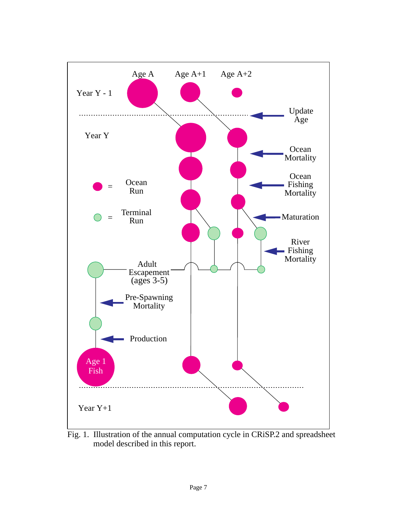

Fig. 1. Illustration of the annual computation cycle in CRiSP.2 and spreadsheet model described in this report.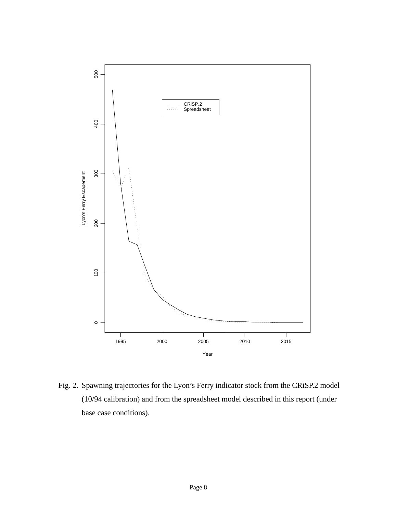

Fig. 2. Spawning trajectories for the Lyon's Ferry indicator stock from the CRiSP.2 model (10/94 calibration) and from the spreadsheet model described in this report (under base case conditions).